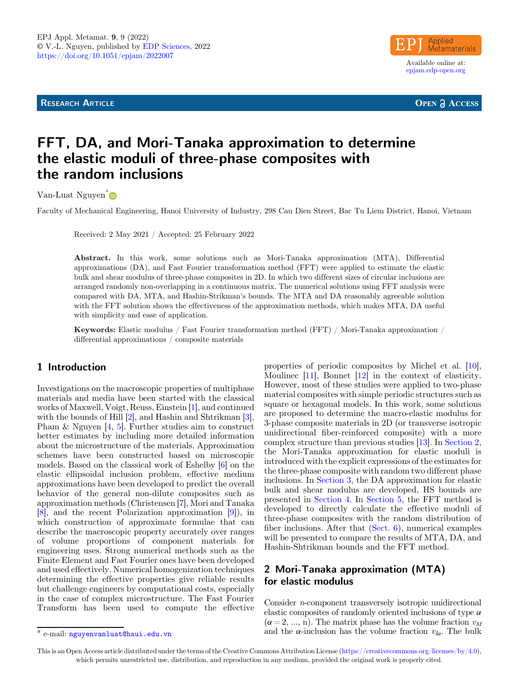**RESEARCH ARTICLE** 



**OPEN A ACCESS** 

# FFT, DA, and Mori-Tanaka approximation to determine the elastic moduli of three-phase composites with the random inclusions

Van-Luat Nguyen<sup>[\\*](https://orcid.org/0000-0003-4492-9498)</sup>

Faculty of Mechanical Engineering, Hanoi University of Industry, 298 Cau Dien Street, Bac Tu Liem District, Hanoi, Vietnam

Received: 2 May 2021 / Accepted: 25 February 2022

Abstract. In this work, some solutions such as Mori-Tanaka approximation (MTA), Differential approximations (DA), and Fast Fourier transformation method (FFT) were applied to estimate the elastic bulk and shear modulus of three-phase composites in 2D. In which two different sizes of circular inclusions are arranged randomly non-overlapping in a continuous matrix. The numerical solutions using FFT analysis were compared with DA, MTA, and Hashin-Strikman's bounds. The MTA and DA reasonably agreeable solution with the FFT solution shows the effectiveness of the approximation methods, which makes MTA, DA useful with simplicity and ease of application.

Keywords: Elastic modulus / Fast Fourier transformation method (FFT) / Mori-Tanaka approximation / differential approximations / composite materials

## 1 Introduction

Investigations on the macroscopic properties of multiphase materials and media have been started with the classical works of Maxwell, Voigt, Reuss, Einstein [\[1](#page-7-0)], and continued with the bounds of Hill [[2\]](#page-7-0), and Hashin and Shtrikman [\[3](#page-7-0)], Pham & Nguyen [[4,](#page-7-0) [5](#page-7-0)]. Further studies aim to construct better estimates by including more detailed information about the microstructure of the materials. Approximation schemes have been constructed based on microscopic models. Based on the classical work of Eshelby [\[6](#page-7-0)] on the elastic ellipsoidal inclusion problem, effective medium approximations have been developed to predict the overall behavior of the general non-dilute composites such as approximation methods (Christensen [[7\]](#page-7-0), Mori and Tanaka [\[8](#page-7-0)], and the recent Polarization approximation [[9\]](#page-7-0)), in which construction of approximate formulae that can describe the macroscopic property accurately over ranges of volume proportions of component materials for engineering uses. Strong numerical methods such as the Finite Element and Fast Fourier ones have been developed and used effectively. Numerical homogenization techniques determining the effective properties give reliable results but challenge engineers by computational costs, especially in the case of complex microstructure. The Fast Fourier Transform has been used to compute the effective

properties of periodic composites by Michel et al. [\[10](#page-7-0)], Moulinec [[11\]](#page-7-0), Bonnet [\[12](#page-7-0)] in the context of elasticity. However, most of these studies were applied to two-phase material composites with simple periodic structures such as square or hexagonal models. In this work, some solutions are proposed to determine the macro-elastic modulus for 3-phase composite materials in 2D (or transverse isotropic unidirectional fiber-reinforced composite) with a more complex structure than previous studies [[13\]](#page-7-0). In Section 2, the Mori-Tanaka approximation for elastic moduli is introduced with the explicit expressions of the estimates for the three-phase composite with random two different phase inclusions. In [Section 3](#page-1-0), the DA approximation for elastic bulk and shear modulus are developed, HS bounds are presented in [Section 4](#page-2-0). In [Section 5](#page-2-0), the FFT method is developed to directly calculate the effective moduli of three-phase composites with the random distribution of fiber inclusions. After that ([Sect. 6\)](#page-3-0), numerical examples will be presented to compare the results of MTA, DA, and Hashin-Shtrikman bounds and the FFT method.

## 2 Mori-Tanaka approximation (MTA) for elastic modulus

Consider n-component transversely isotropic unidirectional elastic composites of randomly oriented inclusions of type  $\alpha$  $(\alpha = 2, ..., n)$ . The matrix phase has the volume fraction  $v_M$ \* e-mail: [nguyenvanluat@haui.edu.vn](mailto:nguyenvanluat@haui�.�edu.vn) and the  $\alpha$ -inclusion has the volume fraction  $v_{I\alpha}$ . The bulk

This is an Open Access article distributed under the terms of the Creative Commons Attribution License [\(https://creativecommons.org/licenses/by/4.0\)](https://creativecommons.org/licenses/by/4.0), which permits unrestricted use, distribution, and reproduction in any medium, provided the original work is properly cited.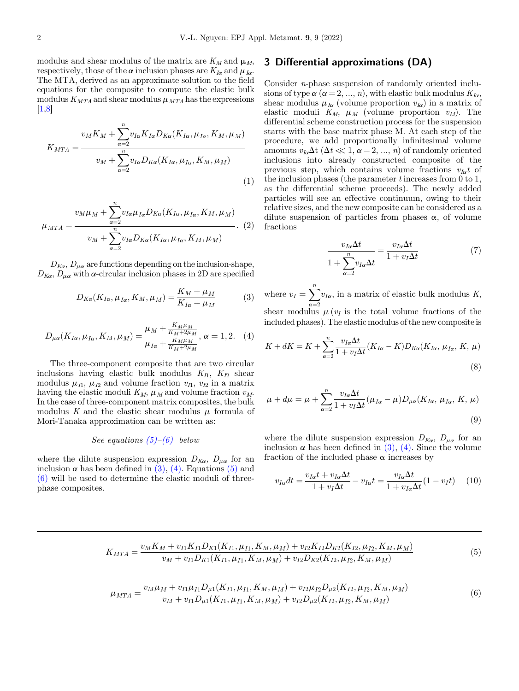<span id="page-1-0"></span>modulus and shear modulus of the matrix are  $K_M$  and  $\mu_M$ , respectively, those of the  $\alpha$  inclusion phases are  $K_{I\alpha}$  and  $\mu_{I\alpha}$ . The MTA, derived as an approximate solution to the field equations for the composite to compute the elastic bulk modulus  $K_{MTA}$  and shear modulus  $\mu_{MTA}$  has the expressions  $|1,8|$ 

$$
K_{MTA} = \frac{v_M K_M + \sum_{\alpha=2}^n v_{I\alpha} K_{I\alpha} D_{K\alpha} (K_{I\alpha}, \mu_{I\alpha}, K_M, \mu_M)}{v_M + \sum_{\alpha=2}^n v_{I\alpha} D_{K\alpha} (K_{I\alpha}, \mu_{I\alpha}, K_M, \mu_M)}
$$
(1)

$$
\mu_{MTA} = \frac{v_M \mu_M + \sum_{\alpha=2}^n v_{I\alpha} \mu_{I\alpha} D_{K\alpha} (K_{I\alpha}, \mu_{I\alpha}, K_M, \mu_M)}{v_M + \sum_{\alpha=2}^n v_{I\alpha} D_{K\alpha} (K_{I\alpha}, \mu_{I\alpha}, K_M, \mu_M)}.
$$
 (2)

 $D_{K\alpha}$ ,  $D_{\mu\alpha}$  are functions depending on the inclusion-shape,  $D_{K\alpha}$ ,  $D_{\mu\alpha}$  with  $\alpha$ -circular inclusion phases in 2D are specified

$$
D_{K\alpha}(K_{I\alpha}, \mu_{I\alpha}, K_M, \mu_M) = \frac{K_M + \mu_M}{K_{I\alpha} + \mu_M} \tag{3}
$$

$$
D_{\mu\alpha}(K_{I\alpha}, \mu_{I\alpha}, K_M, \mu_M) = \frac{\mu_M + \frac{K_M \mu_M}{K_M + 2\mu_M}}{\mu_{I\alpha} + \frac{K_M \mu_M}{K_M + 2\mu_M}}, \alpha = 1, 2. \quad (4)
$$

The three-component composite that are two circular inclusions having elastic bulk modulus  $K_{I1}$ ,  $K_{I2}$  shear modulus  $\mu_{I1}, \mu_{I2}$  and volume fraction  $v_{I1}, v_{I2}$  in a matrix having the elastic moduli  $K_M$ ,  $\mu_M$  and volume fraction  $v_M$ . In the case of three-component matrix composites, the bulk modulus K and the elastic shear modulus  $\mu$  formula of Mori-Tanaka approximation can be written as:

#### See equations  $(5)-(6)$  below

where the dilute suspension expression  $D_{K\alpha}$ ,  $D_{\mu\alpha}$  for an inclusion  $\alpha$  has been defined in (3), (4). Equations (5) and (6) will be used to determine the elastic moduli of threephase composites.

#### 3 Differential approximations (DA)

Consider n-phase suspension of randomly oriented inclusions of type  $\alpha$  ( $\alpha = 2, ..., n$ ), with elastic bulk modulus  $K_{I\alpha}$ , shear modulus  $\mu_{I\alpha}$  (volume proportion  $v_{I\alpha}$ ) in a matrix of elastic moduli  $K_M$ ,  $\mu_M$  (volume proportion  $v_M$ ). The differential scheme construction process for the suspension starts with the base matrix phase M. At each step of the procedure, we add proportionally infinitesimal volume amounts  $v_{I\alpha}\Delta t$  ( $\Delta t \ll 1, \alpha = 2, ..., n$ ) of randomly oriented inclusions into already constructed composite of the previous step, which contains volume fractions  $v_{I\alpha}t$  of the inclusion phases (the parameter t increases from 0 to 1, as the differential scheme proceeds). The newly added particles will see an effective continuum, owing to their relative sizes, and the new composite can be considered as a dilute suspension of particles from phases  $\alpha$ , of volume fractions

$$
\frac{v_{I\alpha}\Delta t}{1 + \sum_{\alpha=2}^{n} v_{I\alpha}\Delta t} = \frac{v_{I\alpha}\Delta t}{1 + v_I\Delta t}
$$
(7)

where  $v_I = \sum_{\alpha=2}^n v_{I\alpha}$ , in a matrix of elastic bulk modulus K, shear modulus  $\mu(v_I)$  is the total volume fractions of the included phases). The elastic modulus of the new composite is

$$
K + dK = K + \sum_{\alpha=2}^{n} \frac{v_{I\alpha} \Delta t}{1 + v_I \Delta t} (K_{I\alpha} - K) D_{K\alpha} (K_{I\alpha}, \mu_{I\alpha}, K, \mu)
$$
\n(8)

$$
\mu + d\mu = \mu + \sum_{\alpha=2}^{n} \frac{v_{I\alpha} \Delta t}{1 + v_I \Delta t} (\mu_{I\alpha} - \mu) D_{\mu\alpha}(K_{I\alpha}, \mu_{I\alpha}, K, \mu)
$$
\n(9)

where the dilute suspension expression  $D_{K\alpha}$ ,  $D_{\mu\alpha}$  for an inclusion  $\alpha$  has been defined in (3), (4). Since the volume fraction of the included phase  $\alpha$  increases by

$$
v_{I\alpha}dt = \frac{v_{I\alpha}t + v_{I\alpha}\Delta t}{1 + v_I\Delta t} - v_{I\alpha}t = \frac{v_{I\alpha}\Delta t}{1 + v_{I\alpha}\Delta t}(1 - v_I t)
$$
 (10)

$$
K_{MTA} = \frac{v_M K_M + v_{I1} K_{I1} D_{K1}(K_{I1}, \mu_{I1}, K_M, \mu_M) + v_{I2} K_{I2} D_{K2}(K_{I2}, \mu_{I2}, K_M, \mu_M)}{v_M + v_{I1} D_{K1}(K_{I1}, \mu_{I1}, K_M, \mu_M) + v_{I2} D_{K2}(K_{I2}, \mu_{I2}, K_M, \mu_M)}
$$
(5)

$$
\mu_{MTA} = \frac{v_M \mu_M + v_{I1} \mu_{I1} D_{\mu 1}(K_{I1}, \mu_{I1}, K_M, \mu_M) + v_{I2} \mu_{I2} D_{\mu 2}(K_{I2}, \mu_{I2}, K_M, \mu_M)}{v_M + v_{I1} D_{\mu 1}(K_{I1}, \mu_{I1}, K_M, \mu_M) + v_{I2} D_{\mu 2}(K_{I2}, \mu_{I2}, K_M, \mu_M)}
$$
(6)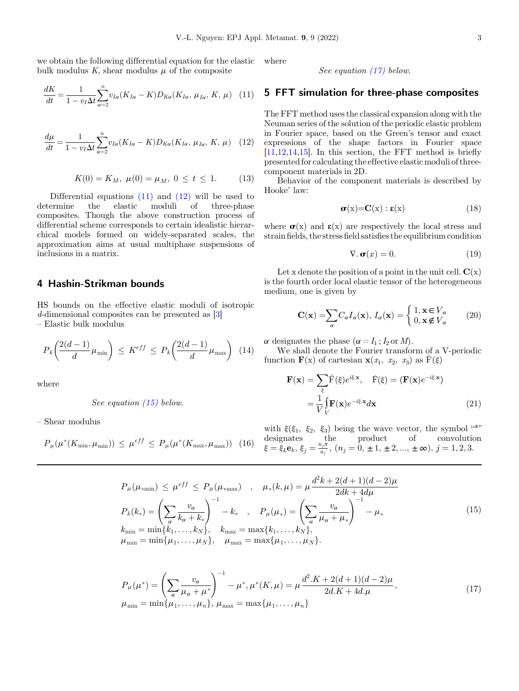<span id="page-2-0"></span>we obtain the following differential equation for the elastic bulk modulus K, shear modulus  $\mu$  of the composite

$$
\frac{dK}{dt} = \frac{1}{1 - v_I \Delta t} \sum_{\alpha=2}^{n} v_{I\alpha} (K_{I\alpha} - K) D_{K\alpha} (K_{I\alpha}, \mu_{I\alpha}, K, \mu) \quad (11)
$$

$$
\frac{d\mu}{dt} = \frac{1}{1 - v_I \Delta t} \sum_{\alpha=2}^n v_{I\alpha} (K_{I\alpha} - K) D_{K\alpha} (K_{I\alpha}, \mu_{I\alpha}, K, \mu) \quad (12)
$$

$$
K(0) = K_M, \ \mu(0) = \mu_M, \ 0 \le t \le 1. \tag{13}
$$

Differential equations  $(11)$  and  $(12)$  will be used to determine the elastic moduli of three-phase composites. Though the above construction process of differential scheme corresponds to certain idealistic hierarchical models formed on widely-separated scales, the approximation aims at usual multiphase suspensions of inclusions in a matrix.

#### 4 Hashin-Strikman bounds

HS bounds on the effective elastic moduli of isotropic d-dimensional composites can be presented as [[3\]](#page-7-0) – Elastic bulk modulus

$$
P_k\left(\frac{2(d-1)}{d}\mu_{\min}\right) \le K^{eff} \le P_k\left(\frac{2(d-1)}{d}\mu_{\max}\right) \tag{14}
$$

where

See equation [\(15\)](#page-1-0) below.

– Shear modulus

$$
P_{\mu}(\mu^*(K_{\min}, \mu_{\min})) \leq \mu^{eff} \leq P_{\mu}(\mu^*(K_{\max}, \mu_{\max})) \quad (16)
$$

where

See equation [\(17\)](#page-1-0) below.

## 5 FFT simulation for three-phase composites

The FFT method uses the classical expansion along with the Neuman series of the solution of the periodic elastic problem in Fourier space, based on the Green's tensor and exact expressions of the shape factors in Fourier space  $[11,12,14,15]$  $[11,12,14,15]$ . In this section, the FFT method is briefly presented for calculating the effective elasticmoduli of threecomponent materials in 2D.

Behavior of the component materials is described by Hooke' law:

$$
\sigma(x)=C(x): \varepsilon(x) \tag{18}
$$

where  $\sigma(x)$  and  $\varepsilon(x)$  are respectively the local stress and strain fields, the stress field satisfies the equilibrium condition

$$
\nabla \cdot \mathbf{\sigma}(x) = 0. \tag{19}
$$

Let x denote the position of a point in the unit cell.  $\mathbf{C}(\mathbf{x})$ is the fourth order local elastic tensor of the heterogeneous medium, one is given by

$$
\mathbf{C}(\mathbf{x}) = \sum_{\alpha} C_{\alpha} I_{\alpha}(\mathbf{x}), I_{\alpha}(\mathbf{x}) = \begin{cases} 1, \mathbf{x} \in V_{\alpha} \\ 0, \mathbf{x} \notin V_{\alpha} \end{cases} (20)
$$

 $\alpha$  designates the phase  $(\alpha = I_1; I_2 \text{ or } M)$ .

We shall denote the Fourier transform of a V-periodic function  $\mathbf{F}(x)$  of cartesian  $\mathbf{x}(x_1, x_2, x_3)$  as  $\hat{F}(\xi)$ 

$$
\mathbf{F}(\mathbf{x}) = \sum_{\xi} \hat{\mathbf{F}}(\xi) e^{i\xi \cdot \mathbf{x}}, \quad \hat{\mathbf{F}}(\xi) = \langle \mathbf{F}(\mathbf{x}) e^{-i\xi \cdot \mathbf{x}} \rangle
$$

$$
= \frac{1}{V} \int_{V} \mathbf{F}(\mathbf{x}) e^{-i\xi \cdot \mathbf{x}} d\mathbf{x}
$$
(21)

with  $\xi(\xi_1, \xi_2, \xi_3)$  being the wave vector, the symbol "\*" designates the product of convolution  $\xi = \xi_k \mathbf{e}_k$ ,  $\xi_j = \frac{n_j \pi}{a_j}$ ,  $(n_j = 0, \pm 1, \pm 2, ..., \pm \infty)$ ,  $j = 1, 2, 3$ .

$$
P_{\mu}(\mu_{*min}) \leq \mu^{eff} \leq P_{\mu}(\mu_{*max}) \quad , \quad \mu_{*}(k,\mu) = \mu \frac{d^{2}k + 2(d+1)(d-2)\mu}{2dk + 4d\mu}
$$

$$
P_{k}(k_{*}) = \left(\sum_{\alpha} \frac{v_{\alpha}}{k_{\alpha} + k_{*}}\right)^{-1} - k_{*} \quad , \quad P_{\mu}(\mu_{*}) = \left(\sum_{\alpha} \frac{v_{\alpha}}{\mu_{\alpha} + \mu_{*}}\right)^{-1} - \mu_{*}
$$

$$
k_{\min} = \min\{k_{1}, \dots, k_{N}\}, \quad k_{\max} = \max\{k_{1}, \dots, k_{N}\},
$$

$$
\mu_{\min} = \min\{\mu_{1}, \dots, \mu_{N}\}, \quad \mu_{\max} = \max\{\mu_{1}, \dots, \mu_{N}\}.
$$

$$
(15)
$$

$$
P_{\mu}(\mu^{*}) = \left(\sum_{\alpha} \frac{v_{\alpha}}{\mu_{\alpha} + \mu^{*}}\right)^{-1} - \mu^{*}, \mu^{*}(K, \mu) = \mu \frac{d^{2} \cdot K + 2(d+1)(d-2)\mu}{2d \cdot K + 4d \cdot \mu},
$$
  
\n
$$
\mu_{\min} = \min\{\mu_{1}, \dots, \mu_{n}\}, \mu_{\max} = \max\{\mu_{1}, \dots, \mu_{n}\}
$$
\n(17)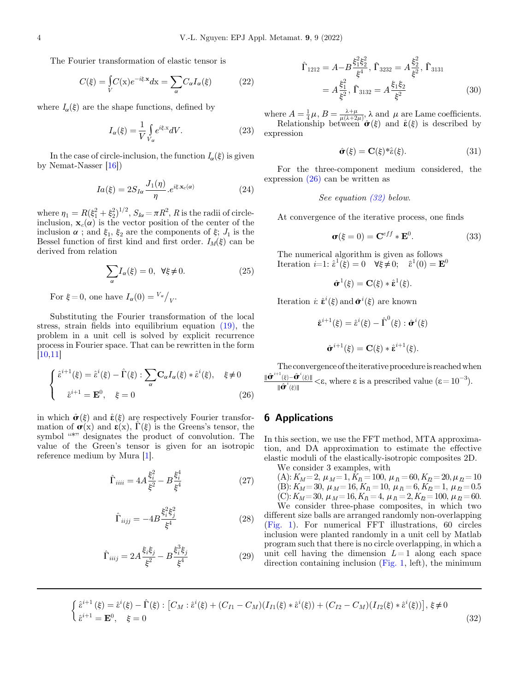<span id="page-3-0"></span>The Fourier transformation of elastic tensor is

$$
C(\xi) = \int\limits_V C(\mathbf{x}) e^{-i\xi \cdot \mathbf{x}} d\mathbf{x} = \sum\limits_{\alpha} C_{\alpha} I_{\alpha}(\xi)
$$
 (22)

where  $I_{\alpha}(\xi)$  are the shape functions, defined by

$$
I_{\alpha}(\xi) = \frac{1}{V} \int_{V_{\alpha}} e^{i\xi \cdot x} dV.
$$
 (23)

In the case of circle-inclusion, the function  $I_{\alpha}(\xi)$  is given by Nemat-Nasser [[16\]](#page-7-0))

$$
Ia(\xi) = 2S_{I\alpha} \frac{J_1(\eta)}{\eta} . e^{i\xi \cdot \mathbf{x}_c(\alpha)} \tag{24}
$$

where  $n_1 = R(\xi_1^2 + \xi_2^2)^{1/2}$ ,  $S_{I\alpha} = \pi R^2$ , R is the radii of circle-<br>inclusion,  $\mathbf{x} \cdot (\alpha)$  is the vector position of the center of the inclusion,  $\mathbf{x}_c(\alpha)$  is the vector position of the center of the inclusion  $\alpha$ ; and  $\xi_1$ ,  $\xi_2$  are the components of  $\xi$ ;  $J_1$  is the Bessel function of first kind and first order.  $I_M(\xi)$  can be derived from relation

$$
\sum_{\alpha} I_{\alpha}(\xi) = 0, \ \forall \xi \neq 0. \tag{25}
$$

For  $\xi = 0$ , one have  $I_{\alpha}(0) = \frac{V_{\alpha}}{V}$ .

Substituting the Fourier transformation of the local stress, strain fields into equilibrium equation [\(19\)](#page-2-0), the problem in a unit cell is solved by explicit recurrence process in Fourier space. That can be rewritten in the form [\[10,11\]](#page-7-0)

$$
\begin{cases} \hat{\varepsilon}^{i+1}(\xi) = \hat{\varepsilon}^i(\xi) - \hat{\Gamma}(\xi) : \sum_{\alpha} \mathbf{C}_{\alpha} I_{\alpha}(\xi) * \hat{\varepsilon}^i(\xi), \quad \xi \neq 0 \\ \hat{\varepsilon}^{i+1} = \mathbf{E}^0, \quad \xi = 0 \end{cases}
$$
 (26)

in which  $\hat{\sigma}(\xi)$  and  $\hat{\epsilon}(\xi)$  are respectively Fourier transformation of  $\sigma(x)$  and  $\varepsilon(x)$ ,  $\Gamma(\xi)$  is the Greens's tensor, the symbol "\*" designates the product of convolution. The value of the Green's tensor is given for an isotropic reference medium by Mura [\[1](#page-7-0)].

$$
\hat{\Gamma}_{iiii} = 4A \frac{\xi_i^2}{\xi^2} - B \frac{\xi_i^4}{\xi^4}
$$
\n(27)

$$
\hat{\Gamma}_{iijj} = -4B \frac{\xi_i^2 \xi_j^2}{\xi^4}
$$
\n(28)

$$
\hat{\Gamma}_{iij} = 2A \frac{\xi_i \xi_j}{\xi^2} - B \frac{\xi_i^3 \xi_j}{\xi^4}
$$
\n(29)

$$
\hat{\Gamma}_{1212} = A - B \frac{\xi_1^2 \xi_2^2}{\xi^4}, \ \hat{\Gamma}_{3232} = A \frac{\xi_2^2}{\xi^2}, \ \hat{\Gamma}_{3131}
$$
\n
$$
= A \frac{\xi_1^2}{\xi^2}, \ \hat{\Gamma}_{3132} = A \frac{\xi_1 \xi_2}{\xi^2}
$$
\n(30)

where  $A = \frac{1}{4}\mu$ ,  $B = \frac{\lambda + \mu}{\mu(\lambda + 2\mu)}$ ,  $\lambda$  and  $\mu$  are Lame coefficients.<br>Relationship between  $\hat{\boldsymbol{\sigma}}(\xi)$  and  $\hat{\boldsymbol{\epsilon}}(\xi)$  is described by

Relationship between  $\hat{\sigma}(\xi)$  and  $\hat{\varepsilon}(\xi)$  is described by ression expression

$$
\hat{\sigma}(\xi) = \mathbf{C}(\xi)^* \hat{\epsilon}(\xi). \tag{31}
$$

For the three-component medium considered, the expression [\(26\)](#page-1-0) can be written as

See equation 
$$
(32)
$$
 below.

At convergence of the iterative process, one finds

$$
\boldsymbol{\sigma}(\xi=0) = \mathbf{C}^{eff} * \mathbf{E}^0.
$$
 (33)

The numerical algorithm is given as follows Iteration  $i=1$ :  $\hat{\epsilon}^1(\check{\xi}) = 0 \quad \forall \check{\xi} \check{\neq} 0; \quad \hat{\epsilon}^1(0) = \mathbf{E}^0$ 

$$
\hat{\sigma}^1(\xi) = \mathbf{C}(\xi) * \hat{\boldsymbol{\epsilon}}^1(\xi).
$$

Iteration  $i: \hat{\varepsilon}^i(\xi)$  and  $\hat{\sigma}^i(\xi)$  are known

$$
\hat{\mathbf{\varepsilon}}^{i+1}(\xi) = \hat{\mathbf{\varepsilon}}^i(\xi) - \hat{\boldsymbol{\Gamma}}^0(\xi) : \hat{\boldsymbol{\sigma}}^i(\xi)
$$

$$
\hat{\boldsymbol{\sigma}}^{i+1}(\xi) = \mathbf{C}(\xi) * \hat{\boldsymbol{\varepsilon}}^{i+1}(\xi).
$$

The convergence of theiterative procedureis reachedwhen  $\frac{\|\hat{\bm{\sigma}}^{i+1}(\xi)-\hat{\bm{\sigma}}^{i}(\xi)\|}{\|\hat{\bm{\sigma}}^{i}(\xi)\|}$  $\langle \varepsilon, \text{ where } \varepsilon \text{ is a prescribed value } (\varepsilon = 10^{-3}).$ 

#### 6 Applications

In this section, we use the FFT method, MTA approximation, and DA approximation to estimate the effective elastic moduli of the elastically-isotropic composites 2D.

We consider 3 examples, with

 $(A): K_M = 2, \mu_M = 1, K_I = 100, \mu_I = 60, K_I = 20, \mu_I = 10$ (B):  $K_M = 30, \mu_M = 16, K_\Pi = 10, \mu_\Pi = 6, K_\Pi = 1, \mu_\Pi = 0.5$ (C):  $K_M = 30$ ,  $\mu_M = 16$ ,  $K_I = 4$ ,  $\mu_I = 2$ ,  $K_I = 100$ ,  $\mu_I = 60$ . We consider three-phase composites, in which two

different size balls are arranged randomly non-overlapping [\(Fig. 1](#page-4-0)). For numerical FFT illustrations, 60 circles inclusion were planted randomly in a unit cell by Matlab program such that there is no circle overlapping, in which a unit cell having the dimension  $L=1$  along each space direction containing inclusion ([Fig. 1](#page-4-0), left), the minimum

$$
\begin{cases}\n\hat{\varepsilon}^{i+1}(\xi) = \hat{\varepsilon}^i(\xi) - \hat{\Gamma}(\xi) : [C_M : \hat{\varepsilon}^i(\xi) + (C_{I1} - C_M)(I_{I1}(\xi) * \hat{\varepsilon}^i(\xi)) + (C_{I2} - C_M)(I_{I2}(\xi) * \hat{\varepsilon}^i(\xi))], \xi \neq 0 \\
\hat{\varepsilon}^{i+1} = \mathbf{E}^0, \quad \xi = 0\n\end{cases}
$$
\n(32)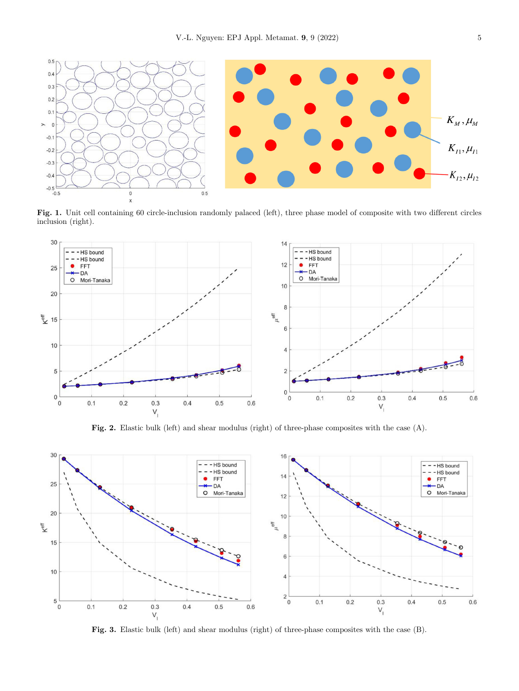<span id="page-4-0"></span>

Fig. 1. Unit cell containing 60 circle-inclusion randomly palaced (left), three phase model of composite with two different circles inclusion (right).



Fig. 2. Elastic bulk (left) and shear modulus (right) of three-phase composites with the case (A).



Fig. 3. Elastic bulk (left) and shear modulus (right) of three-phase composites with the case (B).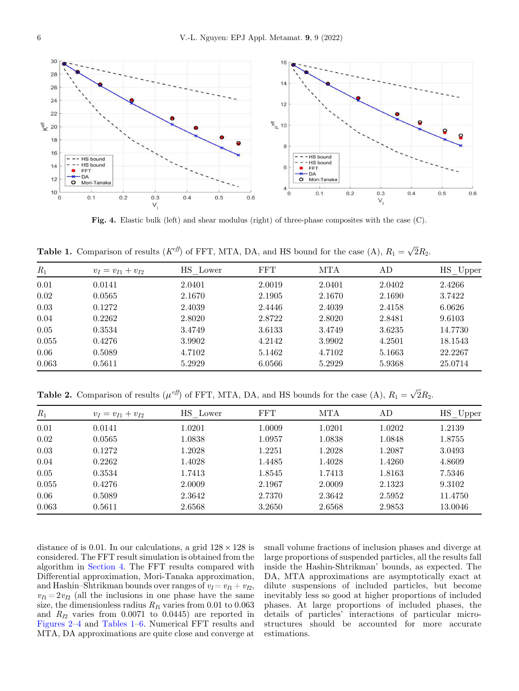

Fig. 4. Elastic bulk (left) and shear modulus (right) of three-phase composites with the case (C).

**Table 1.** Comparison of results ( $K^{eff}$ ) of FFT, MTA, DA, and HS bound for the case (A),  $R_1 = \sqrt{2}R_2$ .

| $R_1$ | $v_I = v_{I1} + v_{I2}$ | HS Lower | <b>FFT</b> | MTA    | AD     | $HS$ Upper |
|-------|-------------------------|----------|------------|--------|--------|------------|
| 0.01  | 0.0141                  | 2.0401   | 2.0019     | 2.0401 | 2.0402 | 2.4266     |
| 0.02  | 0.0565                  | 2.1670   | 2.1905     | 2.1670 | 2.1690 | 3.7422     |
| 0.03  | 0.1272                  | 2.4039   | 2.4446     | 2.4039 | 2.4158 | 6.0626     |
| 0.04  | 0.2262                  | 2.8020   | 2.8722     | 2.8020 | 2.8481 | 9.6103     |
| 0.05  | 0.3534                  | 3.4749   | 3.6133     | 3.4749 | 3.6235 | 14.7730    |
| 0.055 | 0.4276                  | 3.9902   | 4.2142     | 3.9902 | 4.2501 | 18.1543    |
| 0.06  | 0.5089                  | 4.7102   | 5.1462     | 4.7102 | 5.1663 | 22.2267    |
| 0.063 | 0.5611                  | 5.2929   | 6.0566     | 5.2929 | 5.9368 | 25.0714    |

**Table 2.** Comparison of results ( $\mu^{eff}$ ) of FFT, MTA, DA, and HS bounds for the case (A),  $R_1 = \sqrt{2}R_2$ .

| $R_1$ | $v_I = v_{I1} + v_{I2}$ | HS Lower | <b>FFT</b> | MTA    | AD     | HS Upper |
|-------|-------------------------|----------|------------|--------|--------|----------|
| 0.01  | 0.0141                  | 1.0201   | 1.0009     | 1.0201 | 1.0202 | 1.2139   |
| 0.02  | 0.0565                  | 1.0838   | 1.0957     | 1.0838 | 1.0848 | 1.8755   |
| 0.03  | 0.1272                  | 1.2028   | 1.2251     | 1.2028 | 1.2087 | 3.0493   |
| 0.04  | 0.2262                  | 1.4028   | 1.4485     | 1.4028 | 1.4260 | 4.8609   |
| 0.05  | 0.3534                  | 1.7413   | 1.8545     | 1.7413 | 1.8163 | 7.5346   |
| 0.055 | 0.4276                  | 2.0009   | 2.1967     | 2.0009 | 2.1323 | 9.3102   |
| 0.06  | 0.5089                  | 2.3642   | 2.7370     | 2.3642 | 2.5952 | 11.4750  |
| 0.063 | 0.5611                  | 2.6568   | 3.2650     | 2.6568 | 2.9853 | 13.0046  |

distance of is 0.01. In our calculations, a grid  $128 \times 128$  is considered. The FFT result simulation is obtained from the algorithm in [Section 4.](#page-2-0) The FFT results compared with Differential approximation, Mori-Tanaka approximation, and Hashin–Shtrikman bounds over ranges of  $v_I = v_{I1} + v_{I2}$ ,  $v_{I1} = 2v_{I2}$  (all the inclusions in one phase have the same size, the dimensionless radius  $R_{I1}$  varies from 0.01 to 0.063 and  $R_{I2}$  varies from 0.0071 to 0.0445) are reported in [Figures 2](#page-4-0)–4 and Tables 1–[6.](#page-6-0) Numerical FFT results and MTA, DA approximations are quite close and converge at

small volume fractions of inclusion phases and diverge at large proportions of suspended particles, all the results fall inside the Hashin-Shtrikman' bounds, as expected. The DA, MTA approximations are asymptotically exact at dilute suspensions of included particles, but become inevitably less so good at higher proportions of included phases. At large proportions of included phases, the details of particles' interactions of particular microstructures should be accounted for more accurate estimations.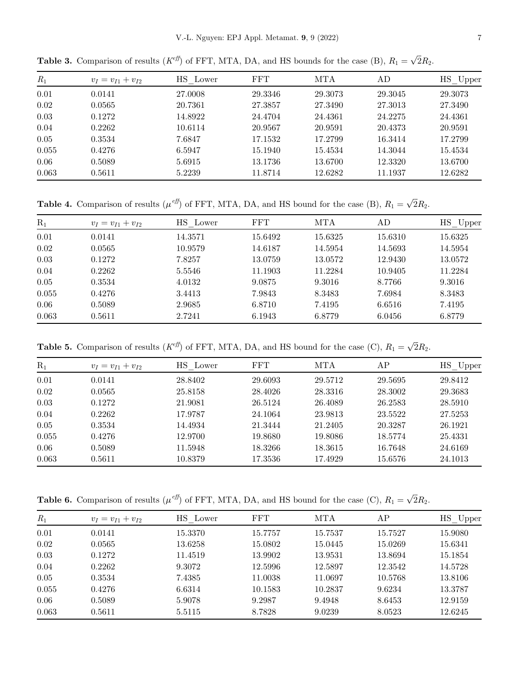| $R_1$ | $v_I = v_{I1} + v_{I2}$ | HS Lower | <b>FFT</b> | MTA     | AD      | HS Upper |
|-------|-------------------------|----------|------------|---------|---------|----------|
| 0.01  | 0.0141                  | 27.0008  | 29.3346    | 29.3073 | 29.3045 | 29.3073  |
| 0.02  | 0.0565                  | 20.7361  | 27.3857    | 27.3490 | 27.3013 | 27.3490  |
| 0.03  | 0.1272                  | 14.8922  | 24.4704    | 24.4361 | 24.2275 | 24.4361  |
| 0.04  | 0.2262                  | 10.6114  | 20.9567    | 20.9591 | 20.4373 | 20.9591  |
| 0.05  | 0.3534                  | 7.6847   | 17.1532    | 17.2799 | 16.3414 | 17.2799  |
| 0.055 | 0.4276                  | 6.5947   | 15.1940    | 15.4534 | 14.3044 | 15.4534  |
| 0.06  | 0.5089                  | 5.6915   | 13.1736    | 13.6700 | 12.3320 | 13.6700  |
| 0.063 | 0.5611                  | 5.2239   | 11.8714    | 12.6282 | 11.1937 | 12.6282  |

<span id="page-6-0"></span>**Table 3.** Comparison of results ( $K^{eff}$ ) of FFT, MTA, DA, and HS bounds for the case (B),  $R_1 = \sqrt{2}R_2$ .

**Table 4.** Comparison of results ( $\mu^{eff}$ ) of FFT, MTA, DA, and HS bound for the case (B),  $R_1 = \sqrt{2}R_2$ .

| $R_1$ | $v_I = v_{I1} + v_{I2}$ | HS Lower | <b>FFT</b> | MTA     | AD      | HS Upper |
|-------|-------------------------|----------|------------|---------|---------|----------|
| 0.01  | 0.0141                  | 14.3571  | 15.6492    | 15.6325 | 15.6310 | 15.6325  |
| 0.02  | 0.0565                  | 10.9579  | 14.6187    | 14.5954 | 14.5693 | 14.5954  |
| 0.03  | 0.1272                  | 7.8257   | 13.0759    | 13.0572 | 12.9430 | 13.0572  |
| 0.04  | 0.2262                  | 5.5546   | 11.1903    | 11.2284 | 10.9405 | 11.2284  |
| 0.05  | 0.3534                  | 4.0132   | 9.0875     | 9.3016  | 8.7766  | 9.3016   |
| 0.055 | 0.4276                  | 3.4413   | 7.9843     | 8.3483  | 7.6984  | 8.3483   |
| 0.06  | 0.5089                  | 2.9685   | 6.8710     | 7.4195  | 6.6516  | 7.4195   |
| 0.063 | 0.5611                  | 2.7241   | 6.1943     | 6.8779  | 6.0456  | 6.8779   |

**Table 5.** Comparison of results ( $K^{eff}$ ) of FFT, MTA, DA, and HS bound for the case (C),  $R_1 = \sqrt{2}R_2$ .

| $R_1$ | $v_I = v_{I1} + v_{I2}$ | HS Lower | <b>FFT</b> | MTA     | AP      | HS Upper |
|-------|-------------------------|----------|------------|---------|---------|----------|
| 0.01  | 0.0141                  | 28.8402  | 29.6093    | 29.5712 | 29.5695 | 29.8412  |
| 0.02  | 0.0565                  | 25.8158  | 28.4026    | 28.3316 | 28.3002 | 29.3683  |
| 0.03  | 0.1272                  | 21.9081  | 26.5124    | 26.4089 | 26.2583 | 28.5910  |
| 0.04  | 0.2262                  | 17.9787  | 24.1064    | 23.9813 | 23.5522 | 27.5253  |
| 0.05  | 0.3534                  | 14.4934  | 21.3444    | 21.2405 | 20.3287 | 26.1921  |
| 0.055 | 0.4276                  | 12.9700  | 19.8680    | 19.8086 | 18.5774 | 25.4331  |
| 0.06  | 0.5089                  | 11.5948  | 18.3266    | 18.3615 | 16.7648 | 24.6169  |
| 0.063 | 0.5611                  | 10.8379  | 17.3536    | 17.4929 | 15.6576 | 24.1013  |

**Table 6.** Comparison of results ( $\mu^{eff}$ ) of FFT, MTA, DA, and HS bound for the case (C),  $R_1 = \sqrt{2}R_2$ .

| $R_1$ | $v_I = v_{I1} + v_{I2}$ | HS Lower | FFT     | MTA     | AΡ      | $HS$ Upper |
|-------|-------------------------|----------|---------|---------|---------|------------|
| 0.01  | 0.0141                  | 15.3370  | 15.7757 | 15.7537 | 15.7527 | 15.9080    |
| 0.02  | 0.0565                  | 13.6258  | 15.0802 | 15.0445 | 15.0269 | 15.6341    |
| 0.03  | 0.1272                  | 11.4519  | 13.9902 | 13.9531 | 13.8694 | 15.1854    |
| 0.04  | 0.2262                  | 9.3072   | 12.5996 | 12.5897 | 12.3542 | 14.5728    |
| 0.05  | 0.3534                  | 7.4385   | 11.0038 | 11.0697 | 10.5768 | 13.8106    |
| 0.055 | 0.4276                  | 6.6314   | 10.1583 | 10.2837 | 9.6234  | 13.3787    |
| 0.06  | 0.5089                  | 5.9078   | 9.2987  | 9.4948  | 8.6453  | 12.9159    |
| 0.063 | 0.5611                  | 5.5115   | 8.7828  | 9.0239  | 8.0523  | 12.6245    |